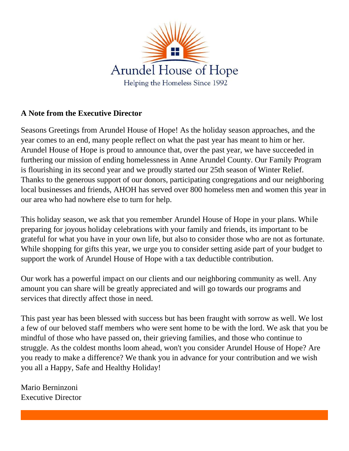

## **A Note from the Executive Director**

Seasons Greetings from Arundel House of Hope! As the holiday season approaches, and the year comes to an end, many people reflect on what the past year has meant to him or her. Arundel House of Hope is proud to announce that, over the past year, we have succeeded in furthering our mission of ending homelessness in Anne Arundel County. Our Family Program is flourishing in its second year and we proudly started our 25th season of Winter Relief. Thanks to the generous support of our donors, participating congregations and our neighboring local businesses and friends, AHOH has served over 800 homeless men and women this year in our area who had nowhere else to turn for help.

This holiday season, we ask that you remember Arundel House of Hope in your plans. While preparing for joyous holiday celebrations with your family and friends, its important to be grateful for what you have in your own life, but also to consider those who are not as fortunate. While shopping for gifts this year, we urge you to consider setting aside part of your budget to support the work of Arundel House of Hope with a tax deductible contribution.

Our work has a powerful impact on our clients and our neighboring community as well. Any amount you can share will be greatly appreciated and will go towards our programs and services that directly affect those in need.

This past year has been blessed with success but has been fraught with sorrow as well. We lost a few of our beloved staff members who were sent home to be with the lord. We ask that you be mindful of those who have passed on, their grieving families, and those who continue to struggle. As the coldest months loom ahead, won't you consider Arundel House of Hope? Are you ready to make a difference? We thank you in advance for your contribution and we wish you all a Happy, Safe and Healthy Holiday!

Mario Berninzoni Executive Director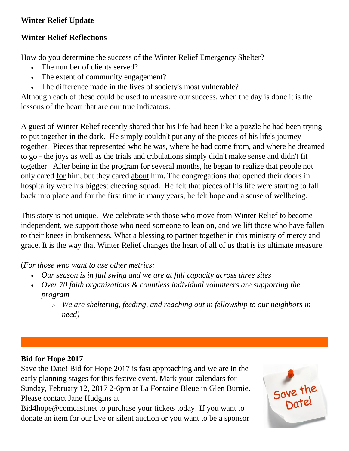## **Winter Relief Update**

## **Winter Relief Reflections**

How do you determine the success of the Winter Relief Emergency Shelter?

- The number of clients served?
- The extent of community engagement?
- The difference made in the lives of society's most vulnerable?

Although each of these could be used to measure our success, when the day is done it is the lessons of the heart that are our true indicators.

A guest of Winter Relief recently shared that his life had been like a puzzle he had been trying to put together in the dark. He simply couldn't put any of the pieces of his life's journey together. Pieces that represented who he was, where he had come from, and where he dreamed to go - the joys as well as the trials and tribulations simply didn't make sense and didn't fit together. After being in the program for several months, he began to realize that people not only cared for him, but they cared about him. The congregations that opened their doors in hospitality were his biggest cheering squad. He felt that pieces of his life were starting to fall back into place and for the first time in many years, he felt hope and a sense of wellbeing.

This story is not unique. We celebrate with those who move from Winter Relief to become independent, we support those who need someone to lean on, and we lift those who have fallen to their knees in brokenness. What a blessing to partner together in this ministry of mercy and grace. It is the way that Winter Relief changes the heart of all of us that is its ultimate measure.

(*For those who want to use other metrics:*

- *Our season is in full swing and we are at full capacity across three sites*
- *Over 70 faith organizations & countless individual volunteers are supporting the program*
	- o *We are sheltering, feeding, and reaching out in fellowship to our neighbors in need)*

# **Bid for Hope 2017**

Save the Date! Bid for Hope 2017 is fast approaching and we are in the early planning stages for this festive event. Mark your calendars for Sunday, February 12, 2017 2-6pm at La Fontaine Bleue in Glen Burnie. Please contact Jane Hudgins at

Bid4hope@comcast.net to purchase your tickets today! If you want to donate an item for our live or silent auction or you want to be a sponsor